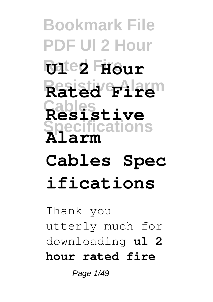**Bookmark File PDF Ul 2 Hour Rated Fire Ul 2 Hour Resistive Alarm Rated Fire Cables Resistive Specifications Alarm**

# **Cables Spec ifications**

Thank you utterly much for downloading **ul 2 hour rated fire**

Page 1/49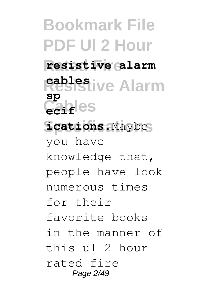**Bookmark File PDF Ul 2 Hour Rated Fire resistive alarm Resistive Alarm cables**  $C_1$ **ecif**<sup>les</sup> **Specifications ications**.Maybe **sp** you have knowledge that, people have look numerous times for their favorite books in the manner of this ul 2 hour rated fire Page 2/49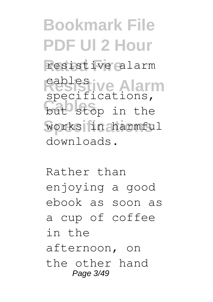**Bookmark File PDF Ul 2 Hour** resistive alarm **Resistive Alarm** cables but stop in the **Specifications** works in harmful specifications, downloads.

Rather than enjoying a good ebook as soon as a cup of coffee in the afternoon, on the other hand Page 3/49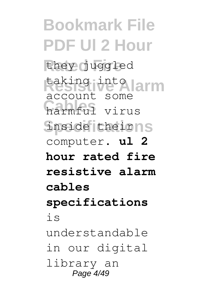**Bookmark File PDF Ul 2 Hour** they juggled **Resistive Alarm** taking into **Cables** harmful virus inside theirns account some computer. **ul 2 hour rated fire resistive alarm cables specifications** is understandable in our digital library an Page 4/49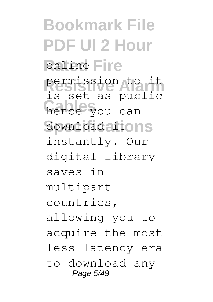**Bookmark File PDF Ul 2 Hour** online Fire **Resistive Alarm** permission to it hence you can download aitons is set as public instantly. Our digital library saves in multipart countries, allowing you to acquire the most less latency era to download any Page 5/49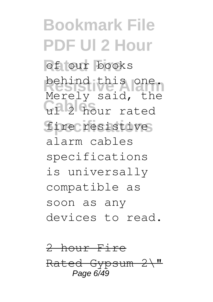**Bookmark File PDF Ul 2 Hour** of our books behind this one. Gables<sub>2</sub> sala, en fire resistive Merely said, the alarm cables specifications is universally compatible as soon as any devices to read.

2 hour Fire Rated Gypsum 2\" Page  $6\sqrt{49}$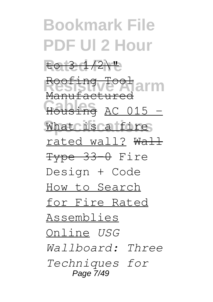#### **Bookmark File PDF Ul 2 Hour Rated Fire** to 3 1/2\" Resistive Tool<br>Ness Savenagarm Housing AC 015 -What is a fire Manufactured rated wall? Wall Type 33-0 Fire Design + Code How to Search for Fire Rated Assemblies Online *USG Wallboard: Three Techniques for* Page 7/49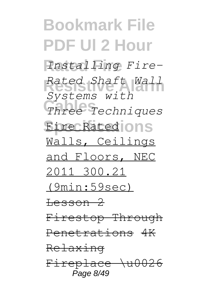**Bookmark File PDF Ul 2 Hour Rated Fire** *Installing Fire-***Resistive Alarm** *Rated Shaft Wall* **Cables** *Three Techniques* **Fire Rated** Ons *Systems with* Walls, Ceilings and Floors, NEC 2011 300.21 (9min:59sec) Lesson 2 Firestop Through Penetrations 4K Relaxing Fireplace \u0026 Page 8/49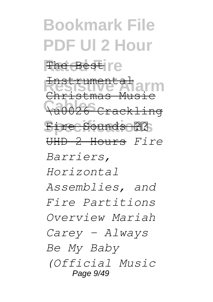#### **Bookmark File PDF Ul 2 Hour** The Best <sub>I'e</sub> **Resistive Alarm** Christmas Music **Cables** \u0026 Crackling Fire Sounds **22** Instrumental UHD 2 Hours *Fire Barriers, Horizontal Assemblies, and Fire Partitions Overview Mariah Carey - Always Be My Baby (Official Music* Page 9/49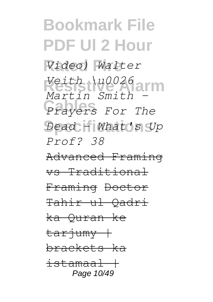## **Bookmark File PDF Ul 2 Hour Rated Fire** *Video) Walter* **Resistive Alarm** *Veith \u0026* **Cables** *Prayers For The* **Specifications** *Dead - What's Up Martin Smith - Prof? 38* Advanced Framing vs Traditional Framing Doctor Tahir ul Qadri

ka Quran ke

tariumy + brackets ka  $i$ stamaa $1+$ Page 10/49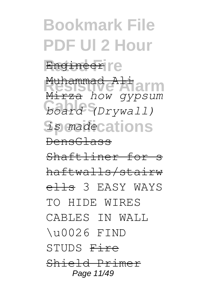# **Bookmark File PDF Ul 2 Hour Engineer** re **Resistive Alarm** Muhammad Ali Mirza *how gypsum*

**Cables** *board (Drywall) <u>is</u> madecations* DensGlass

Shaftliner for s

haftwalls/stairw elle 3 EASY WAYS

TO HIDE WIRES

CABLES IN WALL

\u0026 FIND

STUDS Fire

Shield Primer Page 11/49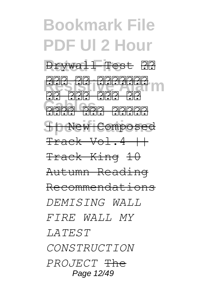## **Bookmark File PDF Ul 2 Hour Rated Fire** Drywall Test छठ **RRR RRRRRRR**<br>Glauba alarman <u>Cables and Cables</u><br>2002 2003 2003  $S$  **D** New Composed <u>pia piaia biaia</u>  $Track Vol.4++$ Track King 10 Autumn Reading Recommendations *DEMISING WALL FIRE WALL MY LATEST*

*CONSTRUCTION*

*PROJECT* The Page 12/49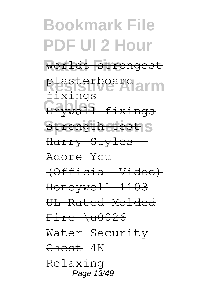#### **Bookmark File PDF Ul 2 Hour Rated Fire** worlds strongest **Resistive Alarm** plasterboard **Cables**<br>Drywall fixings strength test S fixings Harry Styles - Adore You (Official Video) Honeywell 1103 UL Rated Molded  $Fire \rightarrow 0026$ Water Security Chest 4K Relaxing Page 13/49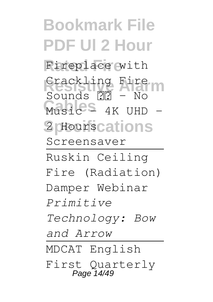**Bookmark File PDF Ul 2 Hour** Fireplace with **Crackling Fire** Music<sup>s</sup> 4K UHD -2 **Hourscations**  $Sounds$   $\mathbb{R}$  - No Screensaver Ruskin Ceiling Fire (Radiation) Damper Webinar *Primitive Technology: Bow and Arrow* MDCAT English First Quarterly Page 14/49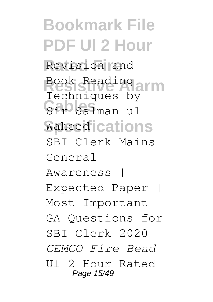**Bookmark File PDF Ul 2 Hour** Revision and **Resistive Alarm** Book Reading Sir Salman ul **Waheed** cations Techniques by SBI Clerk Mains General Awareness | Expected Paper | Most Important GA Questions for SBI Clerk 2020 *CEMCO Fire Bead* Ul 2 Hour Rated Page 15/49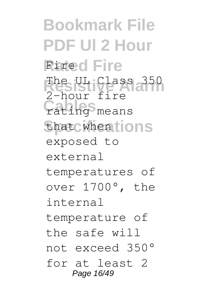**Bookmark File PDF Ul 2 Hour Rated Fire** Fire The UL Class 350 **Cating**<sup>S</sup> means that when tions 2-hour fire exposed to external temperatures of over 1700°, the internal temperature of the safe will not exceed 350° for at least 2 Page 16/49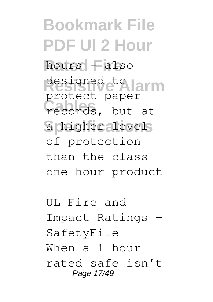**Bookmark File PDF Ul 2 Hour Rated Fire** hours – also **Resistive Alarm** designed to records, but at a higher levels protect paper of protection than the class one hour product

UL Fire and Impact Ratings – SafetyFile When a 1 hour rated safe isn't Page 17/49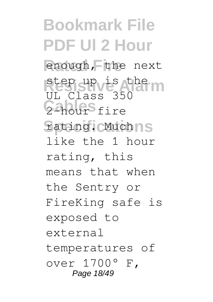**Bookmark File PDF Ul 2 Hour Rated Fire** enough, the next **Resistive Alarm** step up is the 2-hour<sup>S</sup>fire **Specifications** rating. Much UL Class 350 like the 1 hour rating, this means that when the Sentry or FireKing safe is exposed to external temperatures of over 1700° F, Page 18/49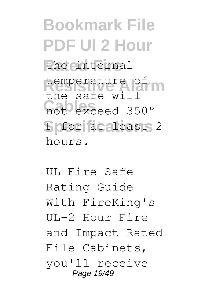**Bookmark File PDF Ul 2 Hour** the einternal temperature of not exceed 350° F or at aleast 2 the safe will hours.

UL Fire Safe Rating Guide With FireKing's UL-2 Hour Fire and Impact Rated File Cabinets, you'll receive Page 19/49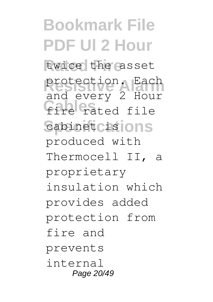**Bookmark File PDF Ul 2 Hour** twice the asset protection. Each **Fire** cated file cabinet cisions and every 2 Hour produced with Thermocell II, a proprietary insulation which provides added protection from fire and prevents internal Page 20/49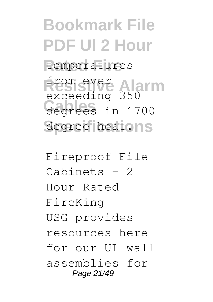**Bookmark File PDF Ul 2 Hour** temperatures **Resistive Alarm** from ever **Cables** degrees in 1700 degree heatons exceeding 350

Fireproof File Cabinets - 2 Hour Rated | FireKing USG provides resources here for our UL wall assemblies for Page 21/49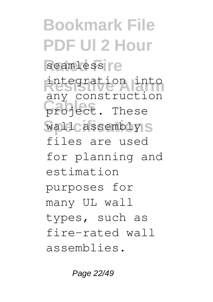**Bookmark File PDF Ul 2 Hour** seamless<sup>r</sup>e **Resistive Alarm** integration into project. These wall assembly S any construction files are used for planning and estimation purposes for many UL wall types, such as fire-rated wall assemblies.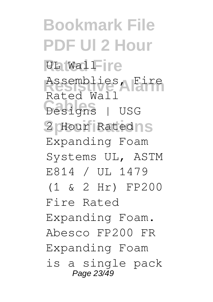**Bookmark File PDF Ul 2 Hour** *<u>UL</u>* Wall-ire **Resistive Alarm** Assemblies, Fire **Cables** Designs | USG 2 Hour Ratedns Rated Wall Expanding Foam Systems UL, ASTM E814 / UL 1479 (1 & 2 Hr) FP200 Fire Rated Expanding Foam. Abesco FP200 FR Expanding Foam is a single pack Page 23/49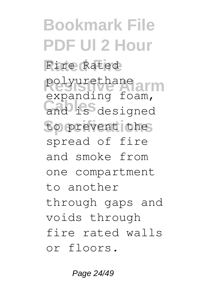**Bookmark File PDF Ul 2 Hour Rated Fire** Fire Rated polyurethane and is designed to prevent the expanding foam, spread of fire and smoke from one compartment to another through gaps and voids through fire rated walls or floors.

Page 24/49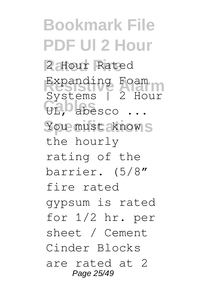**Bookmark File PDF Ul 2 Hour Rated Fire** 2 Hour Rated Expanding Foam<br>Systems | 2 Hour UL, b abesco ... You must know<sub>S</sub> Expanding Foam the hourly rating of the barrier. (5/8″ fire rated gypsum is rated for 1/2 hr. per sheet / Cement Cinder Blocks are rated at 2 Page 25/49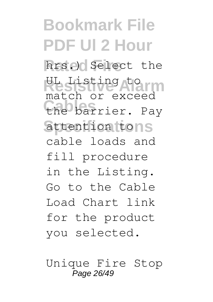**Bookmark File PDF Ul 2 Hour** hrs.) Select the Resisting torm the barrier. Pay attention tons match or exceed cable loads and fill procedure in the Listing. Go to the Cable Load Chart link for the product you selected.

Unique Fire Stop Page 26/49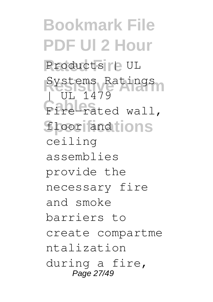**Bookmark File PDF Ul 2 Hour** Products <sub>|</sub> PUL **Systems Ratings** Fire-rated wall, floor and **ions** III. 1479 ceiling assemblies provide the necessary fire and smoke barriers to create compartme ntalization during a fire, Page 27/49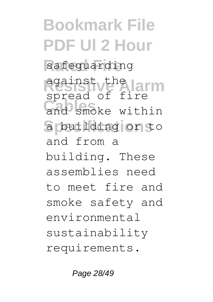**Bookmark File PDF Ul 2 Hour** safeguarding **Resistive Alarm** against the and smoke within **Specifications** a building or to spread of fire and from a building. These assemblies need to meet fire and smoke safety and environmental sustainability requirements.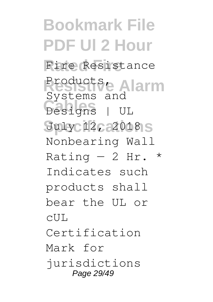**Bookmark File PDF Ul 2 Hour** Fire Resistance **Resistive Alarm** Products, **Cables** Designs | UL July 12, 2018 S Systems and Nonbearing Wall Rating  $-2$  Hr. \* Indicates such products shall bear the UL or  $CIII.$ Certification Mark for jurisdictions Page 29/49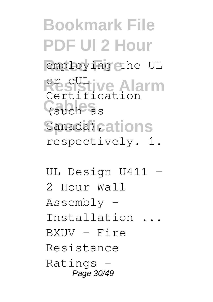### **Bookmark File PDF Ul 2 Hour** employing the UL **Resistive Alarm Cables** (such as Canada) cations Certification respectively. 1.

UL Design U411 2 Hour Wall Assembly - Installation ...  $BXUV - Fire$ Resistance Ratings - Page 30/49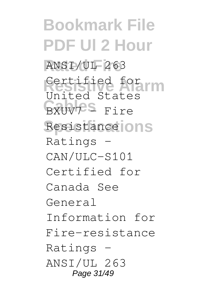**Bookmark File PDF Ul 2 Hour Rated Fire** ANSI/UL 263 **Restified for The Rest** BXUV7<sup>S</sup> Fire Resistance **ONS** United States Ratings - CAN/ULC-S101 Certified for Canada See General Information for Fire-resistance Ratings - ANSI/UL 263 Page 31/49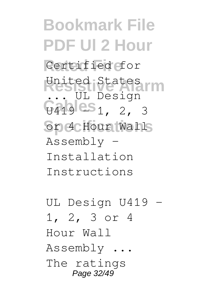**Bookmark File PDF Ul 2 Hour** Certified for United States<br>Resignation  $G419$   $CS1727$ or 4 Hour Walls . UL Design Assembly - Installation Instructions

UL Design U419 - 1, 2, 3 or 4 Hour Wall Assembly ... The ratings Page 32/49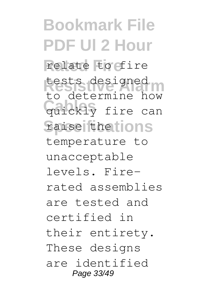**Bookmark File PDF Ul 2 Hour** relate to fire tests designed<br>
Neslate Marchan **Quickly** fire can **Specifications** raise the to determine how temperature to unacceptable levels. Firerated assemblies are tested and certified in their entirety. These designs are identified Page 33/49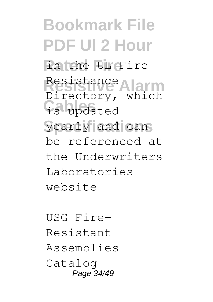**Bookmark File PDF Ul 2 Hour Rated Fire** in the UL Fire **Resistive Alarm** Resistance is updated yearly and can Directory, which be referenced at the Underwriters Laboratories website

USG Fire-Resistant Assemblies Catalog Page 34/49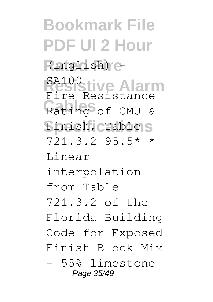**Bookmark File PDF Ul 2 Hour Rated Fire** (English) - **Resistive Alarm** SA100 Rating<sup>S</sup> of CMU & **Specifications** Finish, Table Fire Resistance 721.3.2 95.5\* \* Linear interpolation from Table 721.3.2 of the Florida Building Code for Exposed Finish Block Mix – 55% limestone Page 35/49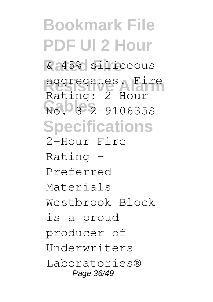**Bookmark File PDF Ul 2 Hour Rated Fire** & 45% siliceous **Resistive Alarm** aggregates. Fire **Cables** 2-910635S **Specifications** Rating: 2 Hour 2-Hour Fire Rating - Preferred Materials Westbrook Block is a proud producer of Underwriters Laboratories® Page 36/49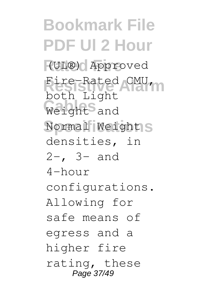**Bookmark File PDF Ul 2 Hour Rated Fire** (UL®) Approved Fire-Rated CMU, Weight<sup>S</sup> and Normal Weights both Light densities, in 2-, 3- and  $4-h$  $\alpha$ ur configurations. Allowing for safe means of egress and a higher fire rating, these Page 37/49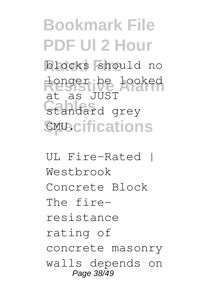# **Bookmark File PDF Ul 2 Hour Rated Fire** blocks should no longer be looked standard grey **SMU.** CMU. CMU. CMU. CMU. CMU. S at as JUST

UL Fire-Rated | Westbrook Concrete Block The fireresistance rating of concrete masonry walls depends on Page 38/49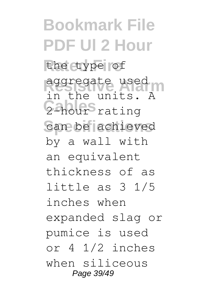**Bookmark File PDF Ul 2 Hour** the type of aggregate used 2-hour<sup>s</sup> rating can be achieved in the units. A by a wall with an equivalent thickness of as little as 3 1/5 inches when expanded slag or pumice is used or 4 1/2 inches when siliceous Page 39/49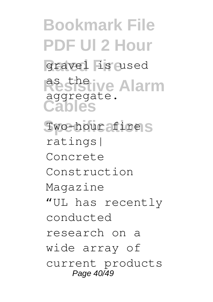**Bookmark File PDF Ul 2 Hour** gravel is used **Resistive Alarm Cables** Two-hour afire<sub>IS</sub> aggregate. ratings| Concrete Construction Magazine "UL has recently conducted research on a wide array of current products Page 40/49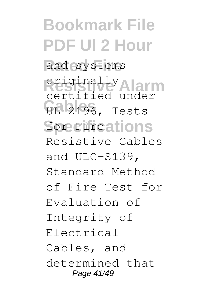**Bookmark File PDF Ul 2 Hour** and systems **Resistive Alarm** originally **CE 2196, Tests Specifications** for Fire certified under Resistive Cables and ULC-S139, Standard Method of Fire Test for Evaluation of Integrity of Electrical Cables, and determined that Page 41/49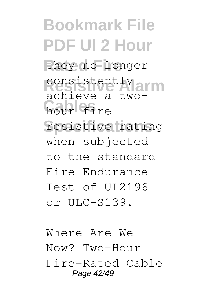**Bookmark File PDF Ul 2 Hour Rated Fire** they no longer **Resistently**<br> **Resistently** hour fire-**Specifications** resistive rating achieve a twowhen subjected to the standard Fire Endurance Test of UL2196 or  $UIC-S139$ .

Where Are We Now? Two-Hour Fire-Rated Cable Page 42/49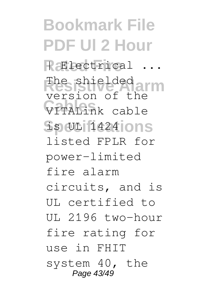**Bookmark File PDF Ul 2 Hour**  $R$  **Electrical** ... **Resistive Alarm** version of the **Cables** VITALink cable **Specifications** is UL 1424 The shielded listed FPLR for power-limited fire alarm circuits, and is UL certified to  $UI. 2196$  two-hour fire rating for use in FHIT system 40, the Page 43/49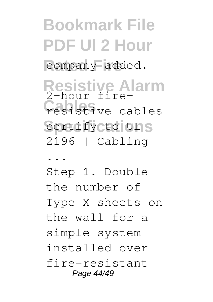**Bookmark File PDF Ul 2 Hour** company added.

**Resistive Alarm Cables** resistive cables certify cto ULS 2-hour fire-2196 | Cabling

...

Step 1. Double the number of Type X sheets on the wall for a simple system installed over fire-resistant Page 44/49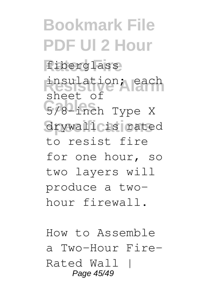**Bookmark File PDF Ul 2 Hour Rated Fire** fiberglass **Resistive Alarm** insulation; each **Cables** 5/8-inch Type X drywall is rated sheet of to resist fire for one hour, so two layers will produce a twohour firewall.

How to Assemble a Two-Hour Fire-Rated Wall | Page 45/49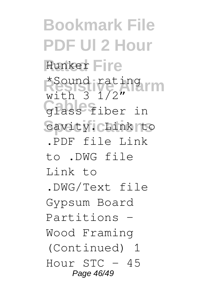**Bookmark File PDF Ul 2 Hour Hunker Fire \*Sound rating<br>Nith Alarm** Glass fiber in cavity. Chink to with 3 1/2" .PDF file Link to .DWG file Link  $t_0$ .DWG/Text file Gypsum Board Partitions - Wood Framing (Continued) 1 Hour  $STC - 45$ Page 46/49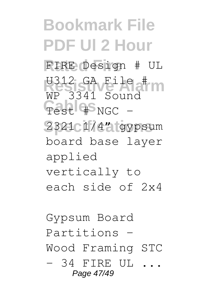**Bookmark File PDF Ul 2 Hour Rated Fire** FIRE Design # UL **W312 GA File #** Test 4<sup>S</sup>NGC -2321 1/4" gypsum WP 3341 Sound board base layer applied vertically to each side of 2x4

Gypsum Board Partitions - Wood Framing STC  $-$  34 FIRE UL  $\ldots$ Page 47/49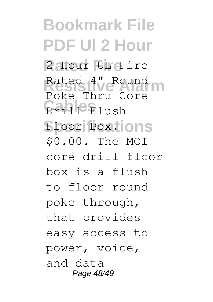**Bookmark File PDF Ul 2 Hour** 2 Hour UL Fire Rated 4" Round **Cables** Drill Flush **Specifications** Floor Box. Poke Thru Core \$0.00. The MOI core drill floor box is a flush to floor round poke through, that provides easy access to power, voice, and data Page 48/49